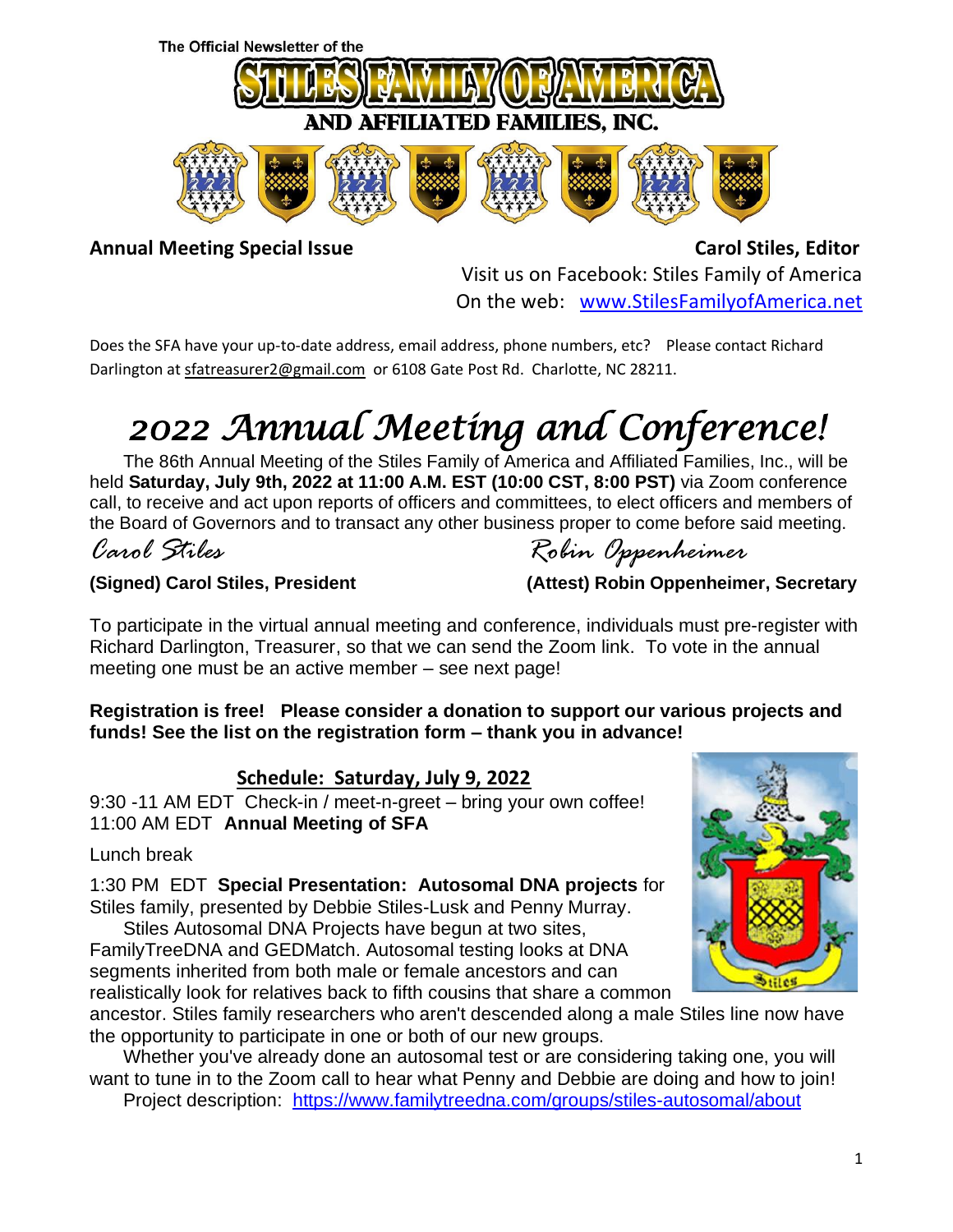

Annual Meeting Special Issue **Carol Stiles, Editor** Carol Stiles, Editor Visit us on Facebook: Stiles Family of America On the web: [www.StilesFamilyofAmerica.net](http://www.stilesfamilyofamerica.net/)

Does the SFA have your up-to-date address, email address, phone numbers, etc? Please contact Richard Darlington a[t sfatreasurer2@gmail.com](mailto:sfatreasurer2@gmail.com) or 6108 Gate Post Rd. Charlotte, NC 28211.

# *2022 Annual Meeting and Conference!*

The 86th Annual Meeting of the Stiles Family of America and Affiliated Families, Inc., will be held **Saturday, July 9th, 2022 at 11:00 A.M. EST (10:00 CST, 8:00 PST)** via Zoom conference call, to receive and act upon reports of officers and committees, to elect officers and members of the Board of Governors and to transact any other business proper to come before said meeting.

## *Carol Stiles Robin Oppenheimer*

#### **(Signed) Carol Stiles, President (Attest) Robin Oppenheimer, Secretary**

|  | (Allest) Nobili Oppenheimer, Secretar |  |
|--|---------------------------------------|--|
|  |                                       |  |
|  |                                       |  |

To participate in the virtual annual meeting and conference, individuals must pre-register with Richard Darlington, Treasurer, so that we can send the Zoom link. To vote in the annual meeting one must be an active member – see next page!

**Registration is free! Please consider a donation to support our various projects and funds! See the list on the registration form – thank you in advance!**

#### **Schedule: Saturday, July 9, 2022**

9:30 -11 AM EDT Check-in / meet-n-greet – bring your own coffee! 11:00 AM EDT **Annual Meeting of SFA**

Lunch break

1:30 PM EDT **Special Presentation: Autosomal DNA projects** for Stiles family, presented by Debbie Stiles-Lusk and Penny Murray.

Stiles Autosomal DNA Projects have begun at two sites, FamilyTreeDNA and GEDMatch. Autosomal testing looks at DNA segments inherited from both male or female ancestors and can realistically look for relatives back to fifth cousins that share a common



ancestor. Stiles family researchers who aren't descended along a male Stiles line now have the opportunity to participate in one or both of our new groups.

Whether you've already done an autosomal test or are considering taking one, you will want to tune in to the Zoom call to hear what Penny and Debbie are doing and how to join!

Project description: <https://www.familytreedna.com/groups/stiles-autosomal/about>